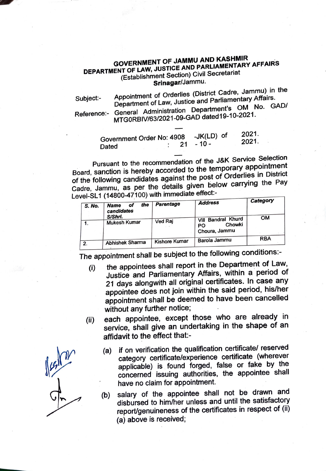## **GOVERNMENT** OF **JAMMU AND KASHMIR** . **DEPARTMENT OF LAW, JUSTICE AND PARLIAMENTARY AFFAIRS**  (Establishment Section) Civil Secretariat **Srinagar/Jammu.**

Subject:- Reference:- Appointment of Orderlies (District Cadre, Jammu) in the Department of Law, Justice and Parliamentary Affairs. General Administration Department's OM No. GAD/ MTGORBIV/63/2021-09-GAD dated 19-10-2021.

> Government Order No: 4908 -JK(LD) of 2021. Dated : 21 - 10 -

Pursuant to the recommendation of the J&K Service Selection Board, sanction is hereby accorded to the temporary appointment of the following candidates against the post of Orderlies in District Cadre, Jammu, as per the details given below carrying the Pay Level-SL1 (14800-47100) with immediate effect:-<br>Laddres

| S. No. | the<br><b>Name</b><br>ot<br>candidates | Parentage     | <b>Address</b>                                                | Category   |
|--------|----------------------------------------|---------------|---------------------------------------------------------------|------------|
|        | S/Shri.<br><b>Mukesh Kumar</b>         | Ved Raj       | <b>Bandral Khurd</b><br>Vill<br>Chowki<br>PO<br>Choura, Jammu | <b>OM</b>  |
| 2.     | Abhishek Sharma                        | Kishore Kumar | Barola Jammu                                                  | <b>RBA</b> |

The appointment shall be subject to the following conditions:-

- (i) the appointees shall report in the Department of Law, Justice and Parliamentary Affairs, within a period of 21 days alongwith all original certificates. In case any appointee does not join within the said period, his/her appointment shall be deemed to have been cancelled without any further notice;
- (ii) each appointee, except those who are already in service, shall give an undertaking in the shape of an affidavit to the effect that:-
	- (a) if on verification the qualification certificate/ reserved category certificate/experience certificate (wherever applicable) is found forged, false or fake by the concerned issuing authorities, the appointee shall have no claim for appointment.

(b) salary of the appointee shall not be drawn and disbursed to him/her unless and until the satisfactory report/genuineness of the certificates in respect of (ii) (a) above is received;